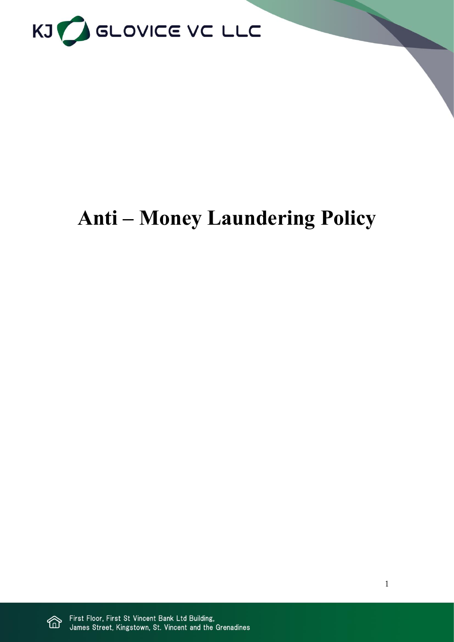

# **Anti – Money Laundering Policy**

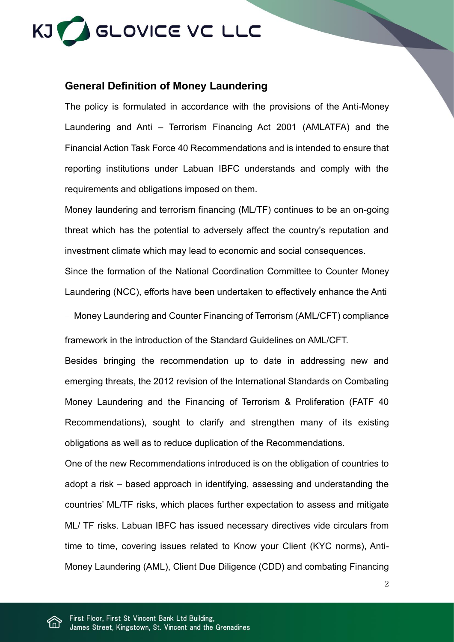

### **General Definition of Money Laundering**

The policy is formulated in accordance with the provisions of the Anti-Money Laundering and Anti – Terrorism Financing Act 2001 (AMLATFA) and the Financial Action Task Force 40 Recommendations and is intended to ensure that reporting institutions under Labuan IBFC understands and comply with the requirements and obligations imposed on them.

Money laundering and terrorism financing (ML/TF) continues to be an on-going threat which has the potential to adversely affect the country's reputation and investment climate which may lead to economic and social consequences.

Since the formation of the National Coordination Committee to Counter Money Laundering (NCC), efforts have been undertaken to effectively enhance the Anti

– Money Laundering and Counter Financing of Terrorism (AML/CFT) compliance framework in the introduction of the Standard Guidelines on AML/CFT.

Besides bringing the recommendation up to date in addressing new and emerging threats, the 2012 revision of the International Standards on Combating Money Laundering and the Financing of Terrorism & Proliferation (FATF 40 Recommendations), sought to clarify and strengthen many of its existing obligations as well as to reduce duplication of the Recommendations.

One of the new Recommendations introduced is on the obligation of countries to adopt a risk – based approach in identifying, assessing and understanding the countries' ML/TF risks, which places further expectation to assess and mitigate ML/ TF risks. Labuan IBFC has issued necessary directives vide circulars from time to time, covering issues related to Know your Client (KYC norms), Anti-Money Laundering (AML), Client Due Diligence (CDD) and combating Financing

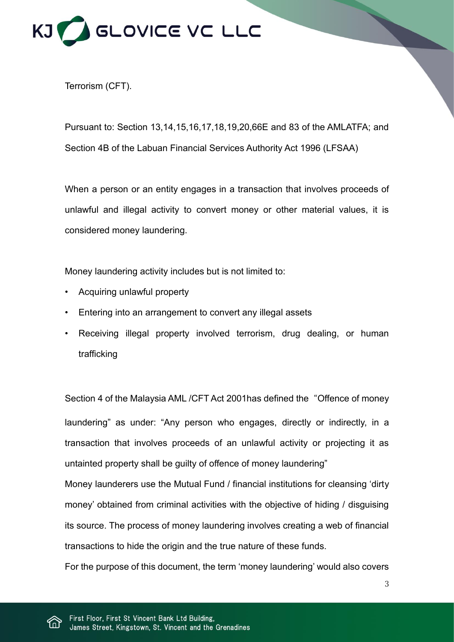

Terrorism (CFT).

Pursuant to: Section 13,14,15,16,17,18,19,20,66E and 83 of the AMLATFA; and Section 4B of the Labuan Financial Services Authority Act 1996 (LFSAA)

When a person or an entity engages in a transaction that involves proceeds of unlawful and illegal activity to convert money or other material values, it is considered money laundering.

Money laundering activity includes but is not limited to:

- Acquiring unlawful property
- Entering into an arrangement to convert any illegal assets
- Receiving illegal property involved terrorism, drug dealing, or human trafficking

Section 4 of the Malaysia AML /CFT Act 2001has defined the "Offence of money laundering" as under: "Any person who engages, directly or indirectly, in a transaction that involves proceeds of an unlawful activity or projecting it as untainted property shall be guilty of offence of money laundering"

Money launderers use the Mutual Fund / financial institutions for cleansing 'dirty money' obtained from criminal activities with the objective of hiding / disguising its source. The process of money laundering involves creating a web of financial transactions to hide the origin and the true nature of these funds.

For the purpose of this document, the term 'money laundering' would also covers

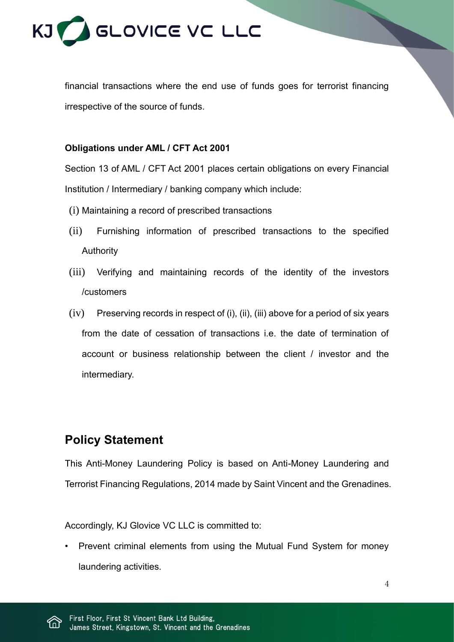

financial transactions where the end use of funds goes for terrorist financing irrespective of the source of funds.

#### **Obligations under AML / CFT Act 2001**

Section 13 of AML / CFT Act 2001 places certain obligations on every Financial Institution / Intermediary / banking company which include:

- (i) Maintaining a record of prescribed transactions
- (ii) Furnishing information of prescribed transactions to the specified Authority
- (iii) Verifying and maintaining records of the identity of the investors /customers
- $(iv)$  Preserving records in respect of (i), (ii), (iii) above for a period of six years from the date of cessation of transactions i.e. the date of termination of account or business relationship between the client / investor and the intermediary.

# **Policy Statement**

This Anti-Money Laundering Policy is based on Anti-Money Laundering and Terrorist Financing Regulations, 2014 made by Saint Vincent and the Grenadines.

Accordingly, KJ Glovice VC LLC is committed to:

• Prevent criminal elements from using the Mutual Fund System for money laundering activities.

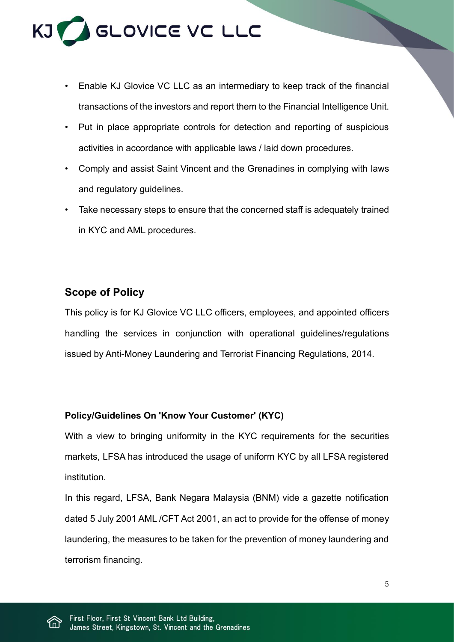

- Enable KJ Glovice VC LLC as an intermediary to keep track of the financial transactions of the investors and report them to the Financial Intelligence Unit.
- Put in place appropriate controls for detection and reporting of suspicious activities in accordance with applicable laws / laid down procedures.
- Comply and assist Saint Vincent and the Grenadines in complying with laws and regulatory guidelines.
- Take necessary steps to ensure that the concerned staff is adequately trained in KYC and AML procedures.

# **Scope of Policy**

This policy is for KJ Glovice VC LLC officers, employees, and appointed officers handling the services in conjunction with operational guidelines/regulations issued by Anti-Money Laundering and Terrorist Financing Regulations, 2014.

### **Policy/Guidelines On 'Know Your Customer' (KYC)**

With a view to bringing uniformity in the KYC requirements for the securities markets, LFSA has introduced the usage of uniform KYC by all LFSA registered institution.

In this regard, LFSA, Bank Negara Malaysia (BNM) vide a gazette notification dated 5 July 2001 AML /CFT Act 2001, an act to provide for the offense of money laundering, the measures to be taken for the prevention of money laundering and terrorism financing.

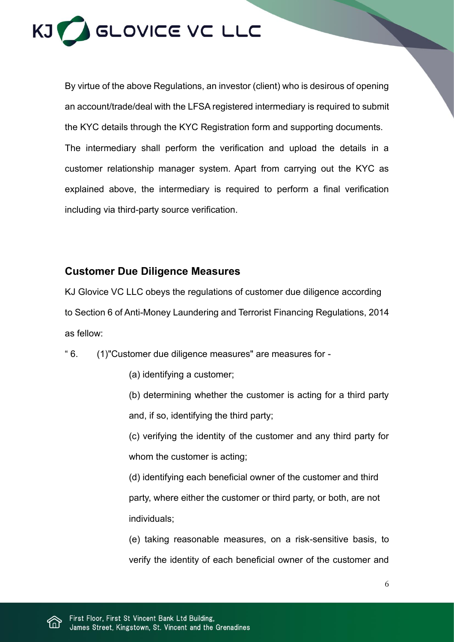

By virtue of the above Regulations, an investor (client) who is desirous of opening an account/trade/deal with the LFSA registered intermediary is required to submit the KYC details through the KYC Registration form and supporting documents. The intermediary shall perform the verification and upload the details in a customer relationship manager system. Apart from carrying out the KYC as explained above, the intermediary is required to perform a final verification including via third-party source verification.

## **Customer Due Diligence Measures**

KJ Glovice VC LLC obeys the regulations of customer due diligence according to Section 6 of Anti-Money Laundering and Terrorist Financing Regulations, 2014 as fellow:

" 6. (1)"Customer due diligence measures" are measures for -

- (a) identifying a customer;
- (b) determining whether the customer is acting for a third party and, if so, identifying the third party;

(c) verifying the identity of the customer and any third party for whom the customer is acting;

(d) identifying each beneficial owner of the customer and third party, where either the customer or third party, or both, are not individuals;

(e) taking reasonable measures, on a risk-sensitive basis, to verify the identity of each beneficial owner of the customer and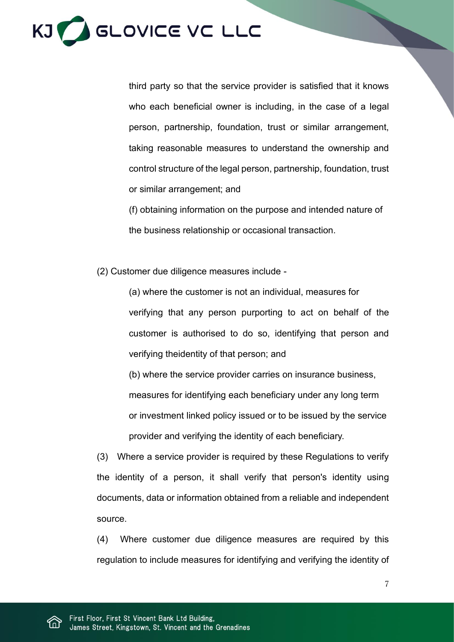

third party so that the service provider is satisfied that it knows who each beneficial owner is including, in the case of a legal person, partnership, foundation, trust or similar arrangement, taking reasonable measures to understand the ownership and control structure of the legal person, partnership, foundation, trust or similar arrangement; and

(f) obtaining information on the purpose and intended nature of the business relationship or occasional transaction.

(2) Customer due diligence measures include -

(a) where the customer is not an individual, measures for verifying that any person purporting to act on behalf of the customer is authorised to do so, identifying that person and verifying theidentity of that person; and

(b) where the service provider carries on insurance business,

measures for identifying each beneficiary under any long term or investment linked policy issued or to be issued by the service provider and verifying the identity of each beneficiary.

(3) Where a service provider is required by these Regulations to verify the identity of a person, it shall verify that person's identity using documents, data or information obtained from a reliable and independent source.

(4) Where customer due diligence measures are required by this regulation to include measures for identifying and verifying the identity of

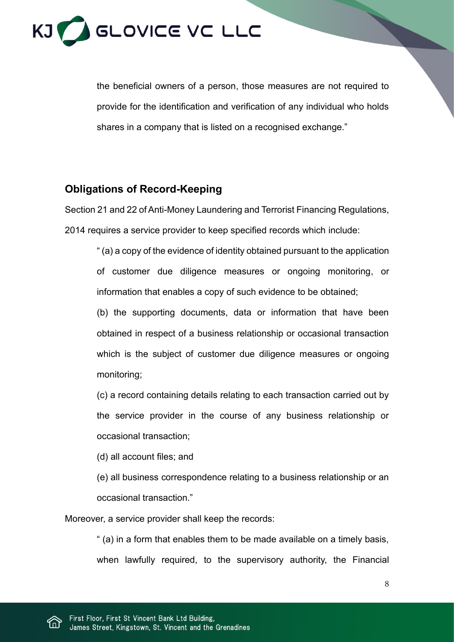

the beneficial owners of a person, those measures are not required to provide for the identification and verification of any individual who holds shares in a company that is listed on a recognised exchange."

## **Obligations of Record-Keeping**

Section 21 and 22 of Anti-Money Laundering and Terrorist Financing Regulations, 2014 requires a service provider to keep specified records which include:

" (a) a copy of the evidence of identity obtained pursuant to the application of customer due diligence measures or ongoing monitoring, or information that enables a copy of such evidence to be obtained;

(b) the supporting documents, data or information that have been obtained in respect of a business relationship or occasional transaction which is the subject of customer due diligence measures or ongoing monitoring;

(c) a record containing details relating to each transaction carried out by the service provider in the course of any business relationship or occasional transaction;

(d) all account files; and

(e) all business correspondence relating to a business relationship or an occasional transaction."

Moreover, a service provider shall keep the records:

" (a) in a form that enables them to be made available on a timely basis, when lawfully required, to the supervisory authority, the Financial

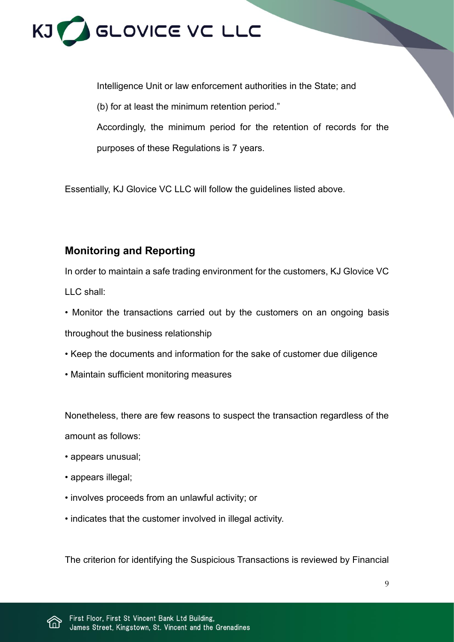

Intelligence Unit or law enforcement authorities in the State; and (b) for at least the minimum retention period." Accordingly, the minimum period for the retention of records for the purposes of these Regulations is 7 years.

Essentially, KJ Glovice VC LLC will follow the guidelines listed above.

# **Monitoring and Reporting**

In order to maintain a safe trading environment for the customers, KJ Glovice VC LLC shall:

- Monitor the transactions carried out by the customers on an ongoing basis throughout the business relationship
- Keep the documents and information for the sake of customer due diligence
- Maintain sufficient monitoring measures

Nonetheless, there are few reasons to suspect the transaction regardless of the amount as follows:

- appears unusual;
- appears illegal;
- involves proceeds from an unlawful activity; or
- indicates that the customer involved in illegal activity.

The criterion for identifying the Suspicious Transactions is reviewed by Financial

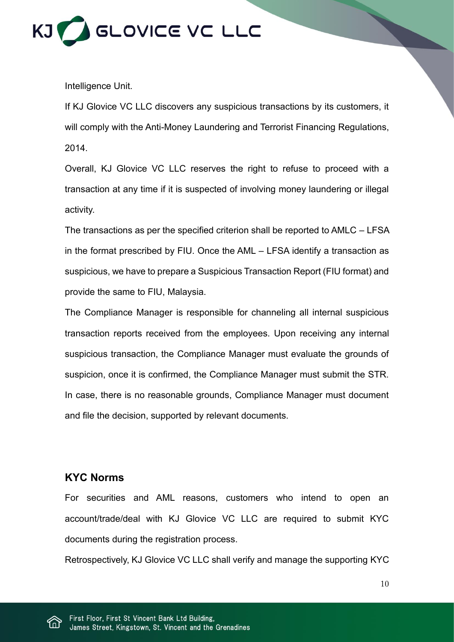

Intelligence Unit.

If KJ Glovice VC LLC discovers any suspicious transactions by its customers, it will comply with the Anti-Money Laundering and Terrorist Financing Regulations, 2014.

Overall, KJ Glovice VC LLC reserves the right to refuse to proceed with a transaction at any time if it is suspected of involving money laundering or illegal activity.

The transactions as per the specified criterion shall be reported to AMLC – LFSA in the format prescribed by FIU. Once the AML – LFSA identify a transaction as suspicious, we have to prepare a Suspicious Transaction Report (FIU format) and provide the same to FIU, Malaysia.

The Compliance Manager is responsible for channeling all internal suspicious transaction reports received from the employees. Upon receiving any internal suspicious transaction, the Compliance Manager must evaluate the grounds of suspicion, once it is confirmed, the Compliance Manager must submit the STR. In case, there is no reasonable grounds, Compliance Manager must document and file the decision, supported by relevant documents.

## **KYC Norms**

For securities and AML reasons, customers who intend to open an account/trade/deal with KJ Glovice VC LLC are required to submit KYC documents during the registration process.

Retrospectively, KJ Glovice VC LLC shall verify and manage the supporting KYC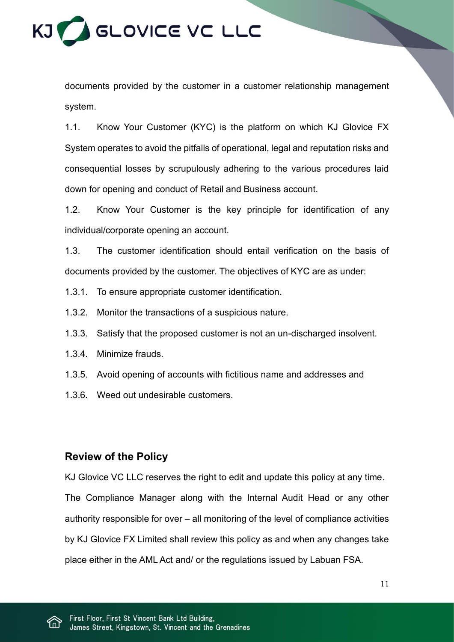

documents provided by the customer in a customer relationship management system.

1.1. Know Your Customer (KYC) is the platform on which KJ Glovice FX System operates to avoid the pitfalls of operational, legal and reputation risks and consequential losses by scrupulously adhering to the various procedures laid down for opening and conduct of Retail and Business account.

1.2. Know Your Customer is the key principle for identification of any individual/corporate opening an account.

1.3. The customer identification should entail verification on the basis of documents provided by the customer. The objectives of KYC are as under:

- 1.3.1. To ensure appropriate customer identification.
- 1.3.2. Monitor the transactions of a suspicious nature.
- 1.3.3. Satisfy that the proposed customer is not an un-discharged insolvent.
- 1.3.4. Minimize frauds.
- 1.3.5. Avoid opening of accounts with fictitious name and addresses and
- 1.3.6. Weed out undesirable customers.

### **Review of the Policy**

KJ Glovice VC LLC reserves the right to edit and update this policy at any time. The Compliance Manager along with the Internal Audit Head or any other authority responsible for over – all monitoring of the level of compliance activities by KJ Glovice FX Limited shall review this policy as and when any changes take place either in the AML Act and/ or the regulations issued by Labuan FSA.